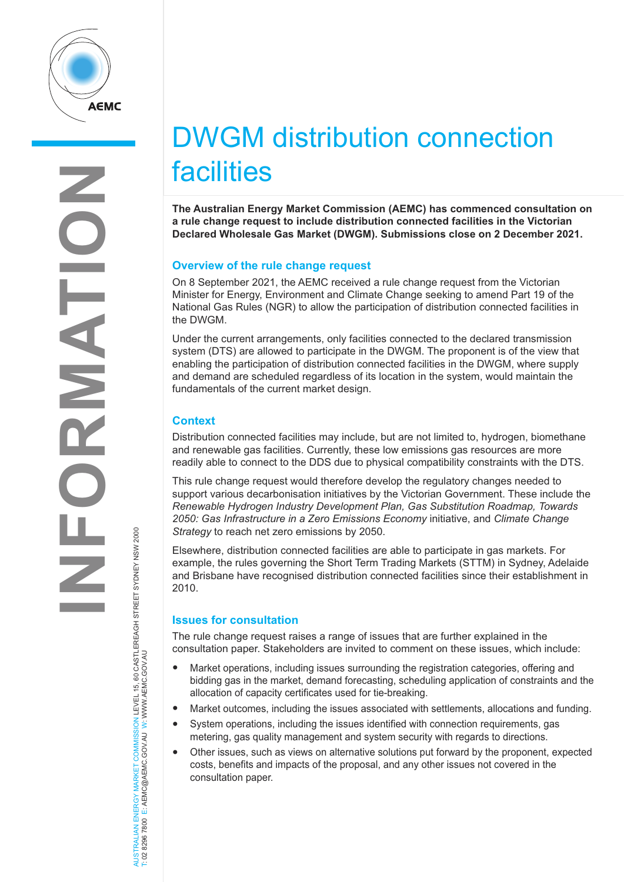

# DWGM distribution connection facilities

**The Australian Energy Market Commission (AEMC) has commenced consultation on a rule change request to include distribution connected facilities in the Victorian Declared Wholesale Gas Market (DWGM). Submissions close on 2 December 2021.**

## **Overview of the rule change request**

On 8 September 2021, the AEMC received a rule change request from the Victorian Minister for Energy, Environment and Climate Change seeking to amend Part 19 of the National Gas Rules (NGR) to allow the participation of distribution connected facilities in the DWGM.

Under the current arrangements, only facilities connected to the declared transmission system (DTS) are allowed to participate in the DWGM. The proponent is of the view that enabling the participation of distribution connected facilities in the DWGM, where supply and demand are scheduled regardless of its location in the system, would maintain the fundamentals of the current market design.

## **Context**

AUSTRALIAN ENERGY MARKET COMMISSION LEVEL 15, 60 CASTLEREAGH STREET SYDNEY NSW 2000

AUSTRALIAN ENERGY MARKET COMMISSION LEVEL 15, 60 CASTLEREAGH STREET SYDNEY NSW 2000<br>T: 02 8296 7800 E: AEMC@AEMC.GOV.AU W: WWW.AEMC.GOV.AU

T: 02 8296 7800 E: AEMC@AEMC.GOV.AU W: WWW.AEMC.GOV.AU

Distribution connected facilities may include, but are not limited to, hydrogen, biomethane and renewable gas facilities. Currently, these low emissions gas resources are more readily able to connect to the DDS due to physical compatibility constraints with the DTS.

This rule change request would therefore develop the regulatory changes needed to support various decarbonisation initiatives by the Victorian Government. These include the *Renewable Hydrogen Industry Development Plan, Gas Substitution Roadmap, Towards 2050: Gas Infrastructure in a Zero Emissions Economy* initiative, and *Climate Change Strategy* to reach net zero emissions by 2050.

Elsewhere, distribution connected facilities are able to participate in gas markets. For example, the rules governing the Short Term Trading Markets (STTM) in Sydney, Adelaide and Brisbane have recognised distribution connected facilities since their establishment in 2010.

## **Issues for consultation**

The rule change request raises a range of issues that are further explained in the consultation paper. Stakeholders are invited to comment on these issues, which include:

- Market operations, including issues surrounding the registration categories, offering and bidding gas in the market, demand forecasting, scheduling application of constraints and the allocation of capacity certificates used for tie-breaking.
- Market outcomes, including the issues associated with settlements, allocations and funding.
- System operations, including the issues identified with connection requirements, gas metering, gas quality management and system security with regards to directions.
- Other issues, such as views on alternative solutions put forward by the proponent, expected costs, benefits and impacts of the proposal, and any other issues not covered in the consultation paper.